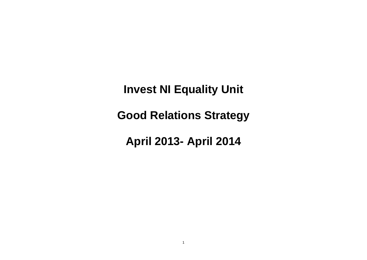**Invest NI Equality Unit**

**Good Relations Strategy**

**April 2013- April 2014**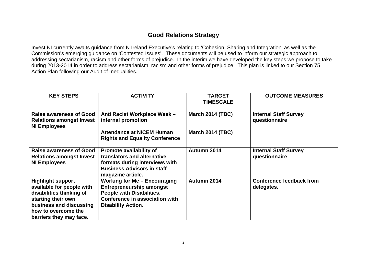## **Good Relations Strategy**

Invest NI currently awaits guidance from N Ireland Executive's relating to 'Cohesion, Sharing and Integration' as well as the Commission's emerging guidance on 'Contested Issues'. These documents will be used to inform our strategic approach to addressing sectarianism, racism and other forms of prejudice. In the interim we have developed the key steps we propose to take during 2013-2014 in order to address sectarianism, racism and other forms of prejudice. This plan is linked to our Section 75 Action Plan following our Audit of Inequalities.

| <b>KEY STEPS</b>                                                                                                                                                                     | <b>ACTIVITY</b>                                                                                                                                                           | <b>TARGET</b><br><b>TIMESCALE</b> | <b>OUTCOME MEASURES</b>                       |
|--------------------------------------------------------------------------------------------------------------------------------------------------------------------------------------|---------------------------------------------------------------------------------------------------------------------------------------------------------------------------|-----------------------------------|-----------------------------------------------|
| <b>Raise awareness of Good</b><br><b>Relations amongst Invest</b><br><b>NI Employees</b>                                                                                             | Anti Racist Workplace Week -<br>internal promotion                                                                                                                        | <b>March 2014 (TBC)</b>           | <b>Internal Staff Survey</b><br>questionnaire |
|                                                                                                                                                                                      | <b>Attendance at NICEM Human</b><br><b>Rights and Equality Conference</b>                                                                                                 | <b>March 2014 (TBC)</b>           |                                               |
| <b>Raise awareness of Good</b><br><b>Relations amongst Invest</b><br><b>NI Employees</b>                                                                                             | Promote availability of<br>translators and alternative<br>formats during interviews with<br><b>Business Advisors in staff</b><br>magazine article.                        | Autumn 2014                       | <b>Internal Staff Survey</b><br>questionnaire |
| <b>Highlight support</b><br>available for people with<br>disabilities thinking of<br>starting their own<br>business and discussing<br>how to overcome the<br>barriers they may face. | <b>Working for Me - Encouraging</b><br><b>Entrepreneurship amongst</b><br><b>People with Disabilities.</b><br>Conference in association with<br><b>Disability Action.</b> | Autumn 2014                       | <b>Conference feedback from</b><br>delegates. |